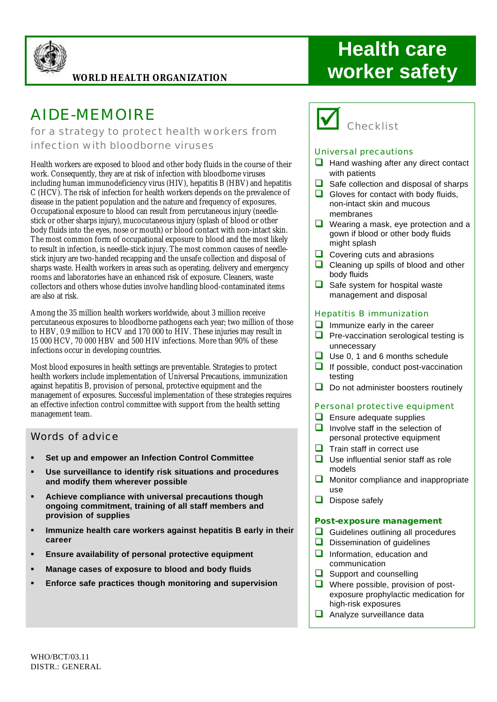

#### **WORLD HEALTH ORGANIZATION**

# AIDE-MEMOIRE

*for a strategy to protect health workers from infection with bloodborne viruses*

Health workers are exposed to blood and other body fluids in the course of their work. Consequently, they are at risk of infection with bloodborne viruses including human immunodeficiency virus (HIV), hepatitis B (HBV) and hepatitis C (HCV). The risk of infection for health workers depends on the prevalence of disease in the patient population and the nature and frequency of exposures. Occupational exposure to blood can result from percutaneous injury (needlestick or other sharps injury), mucocutaneous injury (splash of blood or other body fluids into the eyes, nose or mouth) or blood contact with non-intact skin. The most common form of occupational exposure to blood and the most likely to result in infection, is needle-stick injury. The most common causes of needlestick injury are two-handed recapping and the unsafe collection and disposal of sharps waste. Health workers in areas such as operating, delivery and emergency rooms and laboratories have an enhanced risk of exposure. Cleaners, waste collectors and others whose duties involve handling blood-contaminated items are also at risk.

Among the 35 million health workers worldwide, about 3 million receive percutaneous exposures to bloodborne pathogens each year; two million of those to HBV, 0.9 million to HCV and 170 000 to HIV. These injuries may result in 15 000 HCV, 70 000 HBV and 500 HIV infections. More than 90% of these infections occur in developing countries.

Most blood exposures in health settings are preventable. Strategies to protect health workers include implementation of Universal Precautions, immunization against hepatitis B, provision of personal, protective equipment and the management of exposures. Successful implementation of these strategies requires an effective infection control committee with support from the health setting management team.

### Words of advice

- ß **Set up and empower an Infection Control Committee**
- ß **Use surveillance to identify risk situations and procedures and modify them wherever possible**
- ß **Achieve compliance with universal precautions though ongoing commitment, training of all staff members and provision of supplies**
- **F** Immunize health care workers against hepatitis B early in their **career**
- **Ensure availability of personal protective equipment**
- ß **Manage cases of exposure to blood and body fluids**
- ß **Enforce safe practices though monitoring and supervision**

# **Health care worker safety**

**Checklist** 

#### Universal precautions

- $\Box$  Hand washing after any direct contact with patients
- $\Box$  Safe collection and disposal of sharps
- $\Box$  Gloves for contact with body fluids, non-intact skin and mucous membranes
- $\Box$  Wearing a mask, eye protection and a gown if blood or other body fluids might splash
- $\Box$  Covering cuts and abrasions
- $\Box$  Cleaning up spills of blood and other body fluids
- $\Box$  Safe system for hospital waste management and disposal

#### Hepatitis B immunization

- $\Box$  Immunize early in the career
- $\Box$  Pre-vaccination serological testing is unnecessary
- $\Box$  Use 0, 1 and 6 months schedule
- $\Box$  If possible, conduct post-vaccination testing
- $\Box$  Do not administer boosters routinely

#### Personal protective equipment

- $\Box$  Ensure adequate supplies
- $\Box$  Involve staff in the selection of personal protective equipment
- $\Box$  Train staff in correct use
- $\Box$  Use influential senior staff as role models
- $\Box$  Monitor compliance and inappropriate use
- $\Box$  Dispose safely

#### **Post-exposure management**

- $\Box$  Guidelines outlining all procedures
- $\Box$  Dissemination of quidelines
- $\Box$  Information, education and communication
- $\Box$  Support and counselling
- $\Box$  Where possible, provision of postexposure prophylactic medication for high-risk exposures
- $\Box$  Analyze surveillance data